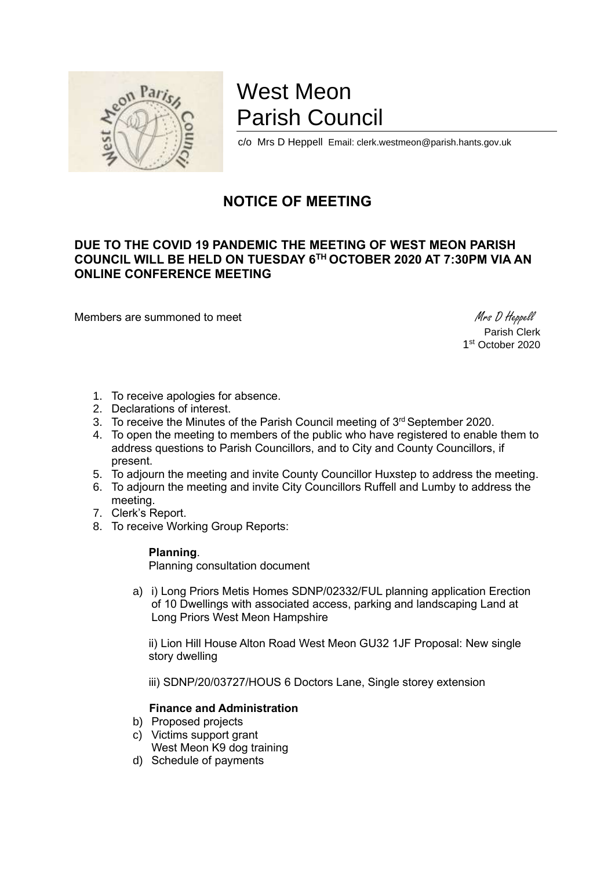

# West Meon Parish Council

c/o Mrs D Heppell Email: clerk.westmeon@parish.hants.gov.uk

# **NOTICE OF MEETING**

## **DUE TO THE COVID 19 PANDEMIC THE MEETING OF WEST MEON PARISH COUNCIL WILL BE HELD ON TUESDAY 6TH OCTOBER 2020 AT 7:30PM VIA AN ONLINE CONFERENCE MEETING**

Members are summoned to meet Mess D Heppell

Parish Clerk 1 st October 2020

- 1. To receive apologies for absence.
- 2. Declarations of interest.
- 3. To receive the Minutes of the Parish Council meeting of 3<sup>rd</sup> September 2020.
- 4. To open the meeting to members of the public who have registered to enable them to address questions to Parish Councillors, and to City and County Councillors, if present.
- 5. To adjourn the meeting and invite County Councillor Huxstep to address the meeting.
- 6. To adjourn the meeting and invite City Councillors Ruffell and Lumby to address the meeting.
- 7. Clerk's Report.
- 8. To receive Working Group Reports:

#### **Planning**.

Planning consultation document

a) i) Long Priors Metis Homes SDNP/02332/FUL planning application Erection of 10 Dwellings with associated access, parking and landscaping Land at Long Priors West Meon Hampshire

ii) Lion Hill House Alton Road West Meon GU32 1JF Proposal: New single story dwelling

iii) SDNP/20/03727/HOUS 6 Doctors Lane, Single storey extension

#### **Finance and Administration**

- b) Proposed projects
- c) Victims support grant West Meon K9 dog training
- d) Schedule of payments